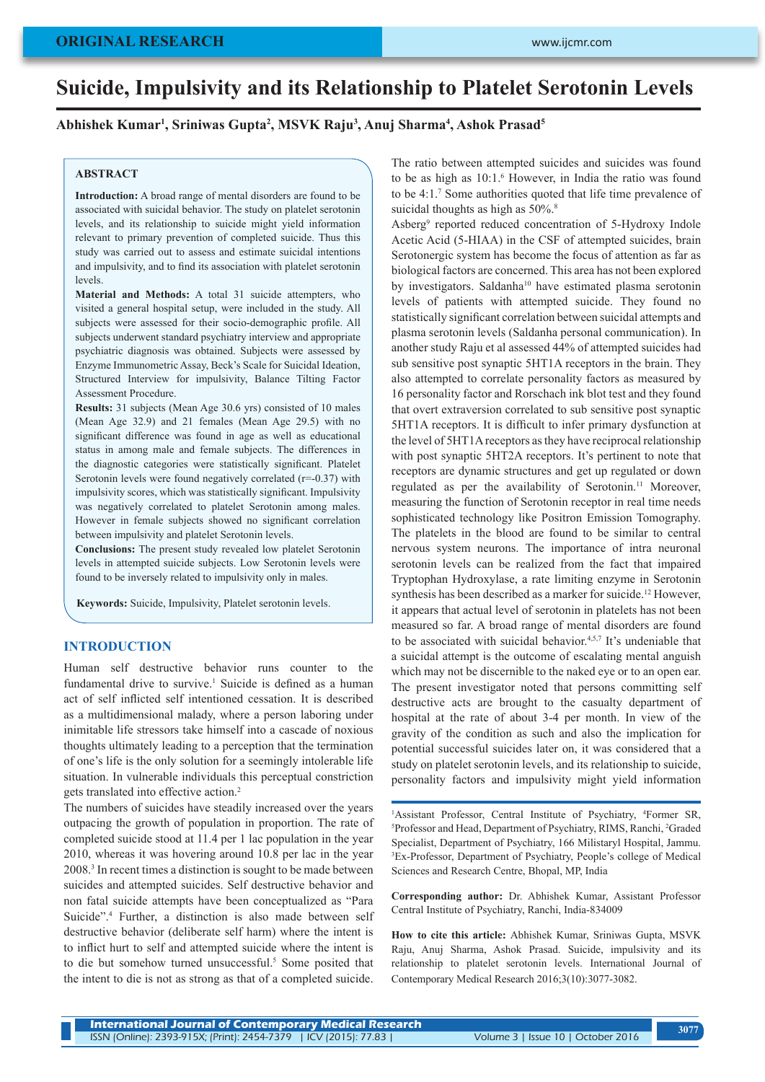# **Suicide, Impulsivity and its Relationship to Platelet Serotonin Levels**

# **Abhishek Kumar1 , Sriniwas Gupta2 , MSVK Raju3 , Anuj Sharma4 , Ashok Prasad5**

# **ABSTRACT**

**Introduction:** A broad range of mental disorders are found to be associated with suicidal behavior. The study on platelet serotonin levels, and its relationship to suicide might yield information relevant to primary prevention of completed suicide. Thus this study was carried out to assess and estimate suicidal intentions and impulsivity, and to find its association with platelet serotonin levels.

**Material and Methods:** A total 31 suicide attempters, who visited a general hospital setup, were included in the study. All subjects were assessed for their socio-demographic profile. All subjects underwent standard psychiatry interview and appropriate psychiatric diagnosis was obtained. Subjects were assessed by Enzyme Immunometric Assay, Beck's Scale for Suicidal Ideation, Structured Interview for impulsivity, Balance Tilting Factor Assessment Procedure.

**Results:** 31 subjects (Mean Age 30.6 yrs) consisted of 10 males (Mean Age 32.9) and 21 females (Mean Age 29.5) with no significant difference was found in age as well as educational status in among male and female subjects. The differences in the diagnostic categories were statistically significant. Platelet Serotonin levels were found negatively correlated  $(r=0.37)$  with impulsivity scores, which was statistically significant. Impulsivity was negatively correlated to platelet Serotonin among males. However in female subjects showed no significant correlation between impulsivity and platelet Serotonin levels.

**Conclusions:** The present study revealed low platelet Serotonin levels in attempted suicide subjects. Low Serotonin levels were found to be inversely related to impulsivity only in males.

**Keywords:** Suicide, Impulsivity, Platelet serotonin levels.

# **INTRODUCTION**

Human self destructive behavior runs counter to the fundamental drive to survive.<sup>1</sup> Suicide is defined as a human act of self inflicted self intentioned cessation. It is described as a multidimensional malady, where a person laboring under inimitable life stressors take himself into a cascade of noxious thoughts ultimately leading to a perception that the termination of one's life is the only solution for a seemingly intolerable life situation. In vulnerable individuals this perceptual constriction gets translated into effective action.2

The numbers of suicides have steadily increased over the years outpacing the growth of population in proportion. The rate of completed suicide stood at 11.4 per 1 lac population in the year 2010, whereas it was hovering around 10.8 per lac in the year 2008.3 In recent times a distinction is sought to be made between suicides and attempted suicides. Self destructive behavior and non fatal suicide attempts have been conceptualized as "Para Suicide".4 Further, a distinction is also made between self destructive behavior (deliberate self harm) where the intent is to inflict hurt to self and attempted suicide where the intent is to die but somehow turned unsuccessful.<sup>5</sup> Some posited that the intent to die is not as strong as that of a completed suicide.

The ratio between attempted suicides and suicides was found to be as high as  $10:1$ .<sup>6</sup> However, in India the ratio was found to be 4:1.7 Some authorities quoted that life time prevalence of suicidal thoughts as high as  $50\%$ .<sup>8</sup>

Asberg9 reported reduced concentration of 5-Hydroxy Indole Acetic Acid (5-HIAA) in the CSF of attempted suicides, brain Serotonergic system has become the focus of attention as far as biological factors are concerned. This area has not been explored by investigators. Saldanha<sup>10</sup> have estimated plasma serotonin levels of patients with attempted suicide. They found no statistically significant correlation between suicidal attempts and plasma serotonin levels (Saldanha personal communication). In another study Raju et al assessed 44% of attempted suicides had sub sensitive post synaptic 5HT1A receptors in the brain. They also attempted to correlate personality factors as measured by 16 personality factor and Rorschach ink blot test and they found that overt extraversion correlated to sub sensitive post synaptic 5HT1A receptors. It is difficult to infer primary dysfunction at the level of 5HT1A receptors as they have reciprocal relationship with post synaptic 5HT2A receptors. It's pertinent to note that receptors are dynamic structures and get up regulated or down regulated as per the availability of Serotonin.<sup>11</sup> Moreover, measuring the function of Serotonin receptor in real time needs sophisticated technology like Positron Emission Tomography. The platelets in the blood are found to be similar to central nervous system neurons. The importance of intra neuronal serotonin levels can be realized from the fact that impaired Tryptophan Hydroxylase, a rate limiting enzyme in Serotonin synthesis has been described as a marker for suicide.<sup>12</sup> However, it appears that actual level of serotonin in platelets has not been measured so far. A broad range of mental disorders are found to be associated with suicidal behavior.<sup>4,5,7</sup> It's undeniable that a suicidal attempt is the outcome of escalating mental anguish which may not be discernible to the naked eye or to an open ear. The present investigator noted that persons committing self destructive acts are brought to the casualty department of hospital at the rate of about 3-4 per month. In view of the gravity of the condition as such and also the implication for potential successful suicides later on, it was considered that a study on platelet serotonin levels, and its relationship to suicide, personality factors and impulsivity might yield information

<sup>1</sup>Assistant Professor, Central Institute of Psychiatry, <sup>4</sup>Former SR, <sup>5</sup>Professor and Head Department of Psychiatry RIMS Ranchi <sup>2</sup>Graded Professor and Head, Department of Psychiatry, RIMS, Ranchi, <sup>2</sup>Graded Specialist, Department of Psychiatry, 166 Milistaryl Hospital, Jammu. 3 Ex-Professor, Department of Psychiatry, People's college of Medical Sciences and Research Centre, Bhopal, MP, India

**Corresponding author:** Dr. Abhishek Kumar, Assistant Professor Central Institute of Psychiatry, Ranchi, India-834009

**How to cite this article:** Abhishek Kumar, Sriniwas Gupta, MSVK Raju, Anuj Sharma, Ashok Prasad. Suicide, impulsivity and its relationship to platelet serotonin levels. International Journal of Contemporary Medical Research 2016;3(10):3077-3082.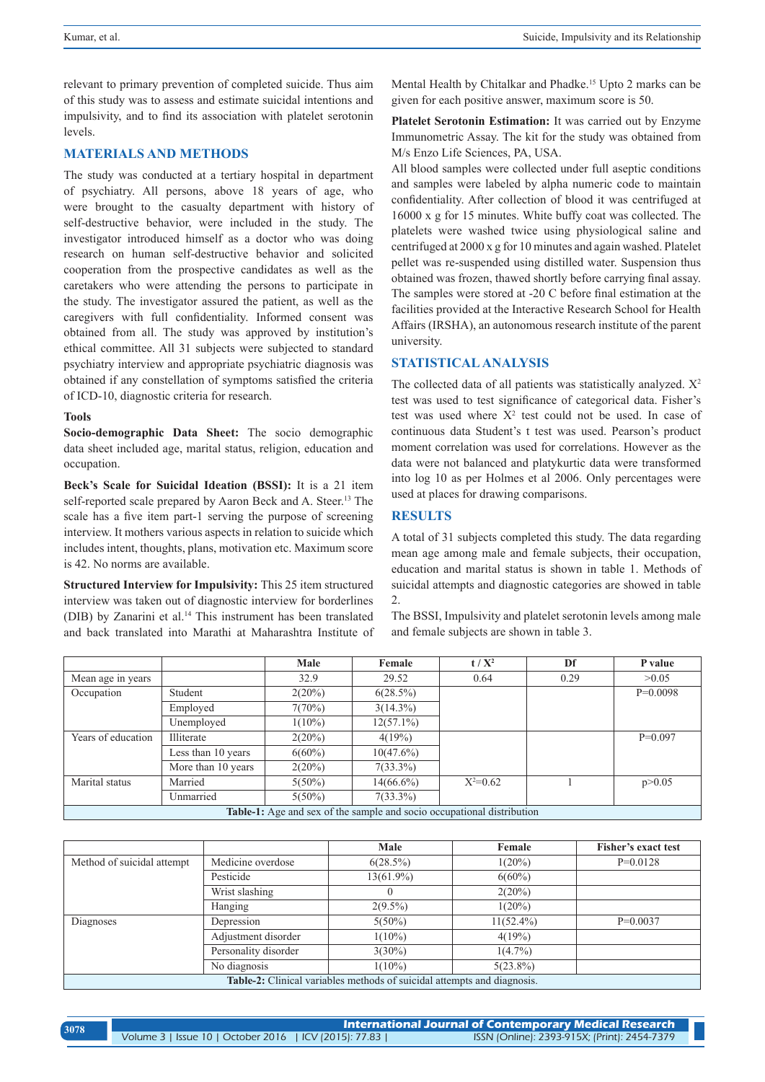relevant to primary prevention of completed suicide. Thus aim of this study was to assess and estimate suicidal intentions and impulsivity, and to find its association with platelet serotonin levels.

## **MATERIALS AND METHODS**

The study was conducted at a tertiary hospital in department of psychiatry. All persons, above 18 years of age, who were brought to the casualty department with history of self-destructive behavior, were included in the study. The investigator introduced himself as a doctor who was doing research on human self-destructive behavior and solicited cooperation from the prospective candidates as well as the caretakers who were attending the persons to participate in the study. The investigator assured the patient, as well as the caregivers with full confidentiality. Informed consent was obtained from all. The study was approved by institution's ethical committee. All 31 subjects were subjected to standard psychiatry interview and appropriate psychiatric diagnosis was obtained if any constellation of symptoms satisfied the criteria of ICD-10, diagnostic criteria for research.

#### **Tools**

**Socio-demographic Data Sheet:** The socio demographic data sheet included age, marital status, religion, education and occupation.

**Beck's Scale for Suicidal Ideation (BSSI):** It is a 21 item self-reported scale prepared by Aaron Beck and A. Steer.<sup>13</sup> The scale has a five item part-1 serving the purpose of screening interview. It mothers various aspects in relation to suicide which includes intent, thoughts, plans, motivation etc. Maximum score is 42. No norms are available.

**Structured Interview for Impulsivity:** This 25 item structured interview was taken out of diagnostic interview for borderlines (DIB) by Zanarini et al.14 This instrument has been translated and back translated into Marathi at Maharashtra Institute of Mental Health by Chitalkar and Phadke.15 Upto 2 marks can be given for each positive answer, maximum score is 50.

**Platelet Serotonin Estimation:** It was carried out by Enzyme Immunometric Assay. The kit for the study was obtained from M/s Enzo Life Sciences, PA, USA.

All blood samples were collected under full aseptic conditions and samples were labeled by alpha numeric code to maintain confidentiality. After collection of blood it was centrifuged at 16000 x g for 15 minutes. White buffy coat was collected. The platelets were washed twice using physiological saline and centrifuged at 2000 x g for 10 minutes and again washed. Platelet pellet was re-suspended using distilled water. Suspension thus obtained was frozen, thawed shortly before carrying final assay. The samples were stored at -20 C before final estimation at the facilities provided at the Interactive Research School for Health Affairs (IRSHA), an autonomous research institute of the parent university.

# **STATISTICAL ANALYSIS**

The collected data of all patients was statistically analyzed.  $X^2$ test was used to test significance of categorical data. Fisher's test was used where  $X^2$  test could not be used. In case of continuous data Student's t test was used. Pearson's product moment correlation was used for correlations. However as the data were not balanced and platykurtic data were transformed into log 10 as per Holmes et al 2006. Only percentages were used at places for drawing comparisons.

# **RESULTS**

A total of 31 subjects completed this study. The data regarding mean age among male and female subjects, their occupation, education and marital status is shown in table 1. Methods of suicidal attempts and diagnostic categories are showed in table 2.

The BSSI, Impulsivity and platelet serotonin levels among male and female subjects are shown in table 3.

|                    |                                                                               | Male      | Female       | $t/X^2$    | Df   | P value    |  |
|--------------------|-------------------------------------------------------------------------------|-----------|--------------|------------|------|------------|--|
| Mean age in years  |                                                                               | 32.9      | 29.52        | 0.64       | 0.29 | >0.05      |  |
| Occupation         | Student                                                                       | $2(20\%)$ | $6(28.5\%)$  |            |      | $P=0.0098$ |  |
|                    | Employed                                                                      | 7(70%)    | $3(14.3\%)$  |            |      |            |  |
|                    | Unemployed                                                                    | $1(10\%)$ | $12(57.1\%)$ |            |      |            |  |
| Years of education | Illiterate                                                                    | 2(20%)    | 4(19%)       |            |      | $P=0.097$  |  |
|                    | Less than 10 years                                                            | $6(60\%)$ | $10(47.6\%)$ |            |      |            |  |
|                    | More than 10 years                                                            | $2(20\%)$ | $7(33.3\%)$  |            |      |            |  |
| Marital status     | Married                                                                       | $5(50\%)$ | $14(66.6\%)$ | $X^2=0.62$ |      | p > 0.05   |  |
|                    | Unmarried                                                                     | $5(50\%)$ | $7(33.3\%)$  |            |      |            |  |
|                    | <b>Table-1:</b> Age and sex of the sample and socio occupational distribution |           |              |            |      |            |  |

|                                                                                |                      | Male         | Female       | Fisher's exact test |  |  |
|--------------------------------------------------------------------------------|----------------------|--------------|--------------|---------------------|--|--|
| Method of suicidal attempt                                                     | Medicine overdose    | $6(28.5\%)$  | $1(20\%)$    | $P=0.0128$          |  |  |
|                                                                                | Pesticide            | $13(61.9\%)$ | $6(60\%)$    |                     |  |  |
|                                                                                | Wrist slashing       | O            | 2(20%)       |                     |  |  |
|                                                                                | Hanging              | $2(9.5\%)$   | $1(20\%)$    |                     |  |  |
| Diagnoses                                                                      | Depression           | $5(50\%)$    | $11(52.4\%)$ | $P=0.0037$          |  |  |
|                                                                                | Adjustment disorder  | $1(10\%)$    | 4(19%)       |                     |  |  |
|                                                                                | Personality disorder | $3(30\%)$    | $1(4.7\%)$   |                     |  |  |
|                                                                                | No diagnosis         | $1(10\%)$    | $5(23.8\%)$  |                     |  |  |
| <b>Table-2:</b> Clinical variables methods of suicidal attempts and diagnosis. |                      |              |              |                     |  |  |

| 3078 | $\mid$ International Journal of Contemporary Medical Research $\mid$ |  |                                              |  |  |  |
|------|----------------------------------------------------------------------|--|----------------------------------------------|--|--|--|
|      | Volume 3   Issue 10   October 2016   ICV (2015): 77.83               |  | ISSN (Online): 2393-915X; (Print): 2454-7379 |  |  |  |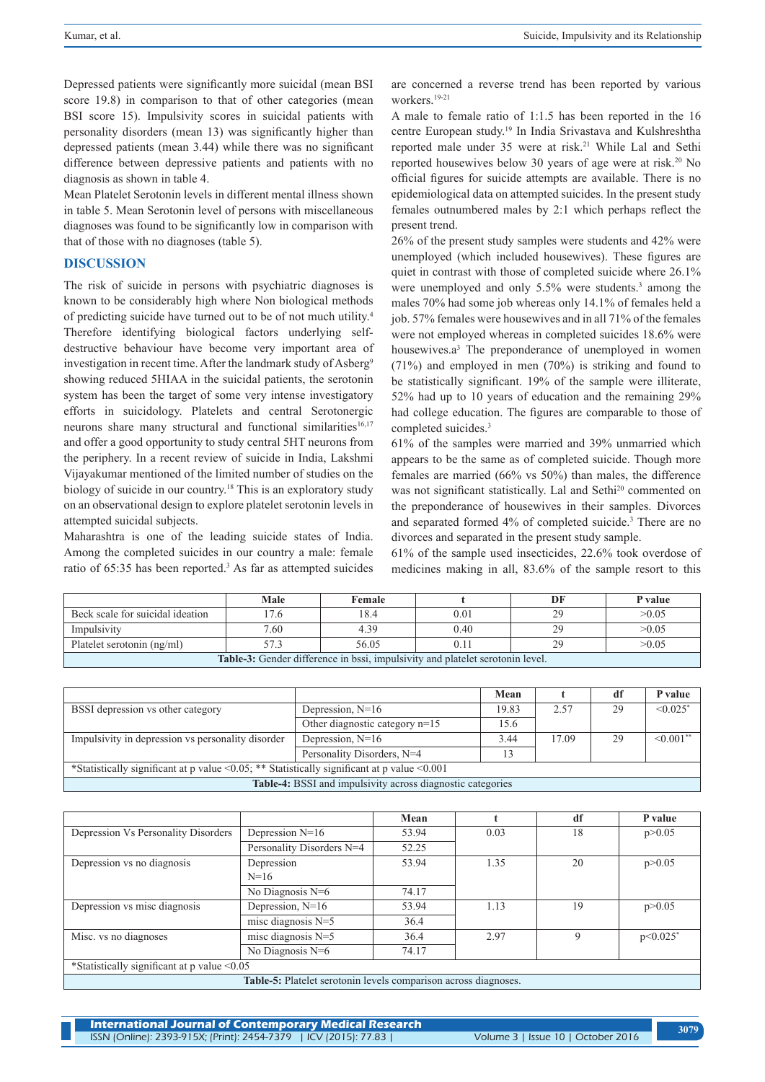Depressed patients were significantly more suicidal (mean BSI score 19.8) in comparison to that of other categories (mean BSI score 15). Impulsivity scores in suicidal patients with personality disorders (mean 13) was significantly higher than depressed patients (mean 3.44) while there was no significant difference between depressive patients and patients with no diagnosis as shown in table 4.

Mean Platelet Serotonin levels in different mental illness shown in table 5. Mean Serotonin level of persons with miscellaneous diagnoses was found to be significantly low in comparison with that of those with no diagnoses (table 5).

#### **DISCUSSION**

The risk of suicide in persons with psychiatric diagnoses is known to be considerably high where Non biological methods of predicting suicide have turned out to be of not much utility.4 Therefore identifying biological factors underlying selfdestructive behaviour have become very important area of investigation in recent time. After the landmark study of Asberg<sup>9</sup> showing reduced 5HIAA in the suicidal patients, the serotonin system has been the target of some very intense investigatory efforts in suicidology. Platelets and central Serotonergic neurons share many structural and functional similarities<sup>16,17</sup> and offer a good opportunity to study central 5HT neurons from the periphery. In a recent review of suicide in India, Lakshmi Vijayakumar mentioned of the limited number of studies on the biology of suicide in our country.<sup>18</sup> This is an exploratory study on an observational design to explore platelet serotonin levels in attempted suicidal subjects.

Maharashtra is one of the leading suicide states of India. Among the completed suicides in our country a male: female ratio of 65:35 has been reported.<sup>3</sup> As far as attempted suicides are concerned a reverse trend has been reported by various workers.19-21

A male to female ratio of 1:1.5 has been reported in the 16 centre European study.19 In India Srivastava and Kulshreshtha reported male under 35 were at risk.<sup>21</sup> While Lal and Sethi reported housewives below 30 years of age were at risk.<sup>20</sup> No official figures for suicide attempts are available. There is no epidemiological data on attempted suicides. In the present study females outnumbered males by 2:1 which perhaps reflect the present trend.

26% of the present study samples were students and 42% were unemployed (which included housewives). These figures are quiet in contrast with those of completed suicide where 26.1% were unemployed and only 5.5% were students.<sup>3</sup> among the males 70% had some job whereas only 14.1% of females held a job. 57% females were housewives and in all 71% of the females were not employed whereas in completed suicides 18.6% were housewives.a<sup>3</sup> The preponderance of unemployed in women (71%) and employed in men (70%) is striking and found to be statistically significant. 19% of the sample were illiterate, 52% had up to 10 years of education and the remaining 29% had college education. The figures are comparable to those of completed suicides.3

61% of the samples were married and 39% unmarried which appears to be the same as of completed suicide. Though more females are married (66% vs 50%) than males, the difference was not significant statistically. Lal and Sethi<sup>20</sup> commented on the preponderance of housewives in their samples. Divorces and separated formed 4% of completed suicide.<sup>3</sup> There are no divorces and separated in the present study sample.

61% of the sample used insecticides, 22.6% took overdose of medicines making in all, 83.6% of the sample resort to this

|                                                                                      | Male | Female |      |  | P value |  |
|--------------------------------------------------------------------------------------|------|--------|------|--|---------|--|
| Beck scale for suicidal ideation                                                     |      | 18.4   | 0.01 |  | >0.05   |  |
| Impulsivity                                                                          | 7.60 | 4.39   | 0.40 |  | >0.05   |  |
| 56.05<br>>0.05<br>Platelet serotonin (ng/ml)<br>57.3<br>$0.1^{\circ}$                |      |        |      |  |         |  |
| <b>Table-3:</b> Gender difference in bssi, impulsivity and platelet serotonin level. |      |        |      |  |         |  |

|                                                                                                    |                                  | Mean  |       | df | P value                |
|----------------------------------------------------------------------------------------------------|----------------------------------|-------|-------|----|------------------------|
| BSSI depression vs other category                                                                  | Depression, $N=16$               | 19.83 | 2.57  | 29 | $< 0.025$ <sup>*</sup> |
|                                                                                                    | Other diagnostic category $n=15$ | 15.6  |       |    |                        |
| Impulsivity in depression vs personality disorder                                                  | Depression, $N=16$               | 3.44  | 17.09 | 29 | $\sim 0.001**$         |
|                                                                                                    | Personality Disorders, N=4       | 13    |       |    |                        |
| *Statistically significant at p value < $0.05$ ; ** Statistically significant at p value < $0.001$ |                                  |       |       |    |                        |
| <b>Table-4:</b> BSSI and impulsivity across diagnostic categories                                  |                                  |       |       |    |                        |

|                                                                 |                           | Mean  |      | df | <b>P</b> value         |
|-----------------------------------------------------------------|---------------------------|-------|------|----|------------------------|
| Depression Vs Personality Disorders                             | Depression $N=16$         | 53.94 | 0.03 | 18 | p > 0.05               |
|                                                                 | Personality Disorders N=4 | 52.25 |      |    |                        |
| Depression vs no diagnosis                                      | Depression                | 53.94 | 1.35 | 20 | p > 0.05               |
|                                                                 | $N=16$                    |       |      |    |                        |
|                                                                 | No Diagnosis N=6          | 74.17 |      |    |                        |
| Depression vs misc diagnosis                                    | Depression, N=16          | 53.94 | 1.13 | 19 | p > 0.05               |
|                                                                 | misc diagnosis $N=5$      | 36.4  |      |    |                        |
| Misc. vs no diagnoses                                           | misc diagnosis $N=5$      | 36.4  | 2.97 | -9 | $p<0.025$ <sup>*</sup> |
|                                                                 | No Diagnosis $N=6$        | 74.17 |      |    |                        |
| *Statistically significant at p value <0.05                     |                           |       |      |    |                        |
| Table-5: Platelet serotonin levels comparison across diagnoses. |                           |       |      |    |                        |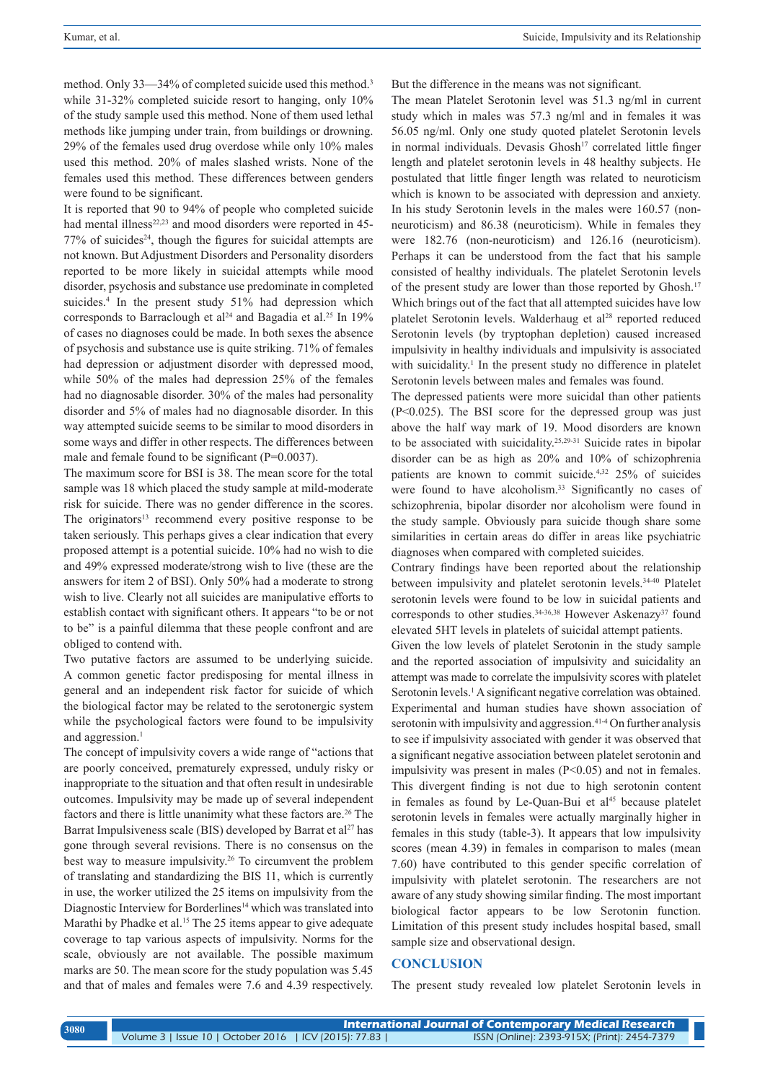method. Only 33—34% of completed suicide used this method.<sup>3</sup> while 31-32% completed suicide resort to hanging, only 10% of the study sample used this method. None of them used lethal methods like jumping under train, from buildings or drowning. 29% of the females used drug overdose while only 10% males used this method. 20% of males slashed wrists. None of the females used this method. These differences between genders were found to be significant.

It is reported that 90 to 94% of people who completed suicide had mental illness<sup>22,23</sup> and mood disorders were reported in 45- $77\%$  of suicides<sup>24</sup>, though the figures for suicidal attempts are not known. But Adjustment Disorders and Personality disorders reported to be more likely in suicidal attempts while mood disorder, psychosis and substance use predominate in completed suicides.<sup>4</sup> In the present study 51% had depression which corresponds to Barraclough et al<sup>24</sup> and Bagadia et al.<sup>25</sup> In 19% of cases no diagnoses could be made. In both sexes the absence of psychosis and substance use is quite striking. 71% of females had depression or adjustment disorder with depressed mood, while 50% of the males had depression 25% of the females had no diagnosable disorder. 30% of the males had personality disorder and 5% of males had no diagnosable disorder. In this way attempted suicide seems to be similar to mood disorders in some ways and differ in other respects. The differences between male and female found to be significant (P=0.0037).

The maximum score for BSI is 38. The mean score for the total sample was 18 which placed the study sample at mild-moderate risk for suicide. There was no gender difference in the scores. The originators<sup>13</sup> recommend every positive response to be taken seriously. This perhaps gives a clear indication that every proposed attempt is a potential suicide. 10% had no wish to die and 49% expressed moderate/strong wish to live (these are the answers for item 2 of BSI). Only 50% had a moderate to strong wish to live. Clearly not all suicides are manipulative efforts to establish contact with significant others. It appears "to be or not to be" is a painful dilemma that these people confront and are obliged to contend with.

Two putative factors are assumed to be underlying suicide. A common genetic factor predisposing for mental illness in general and an independent risk factor for suicide of which the biological factor may be related to the serotonergic system while the psychological factors were found to be impulsivity and aggression.<sup>1</sup>

The concept of impulsivity covers a wide range of "actions that are poorly conceived, prematurely expressed, unduly risky or inappropriate to the situation and that often result in undesirable outcomes. Impulsivity may be made up of several independent factors and there is little unanimity what these factors are.<sup>26</sup> The Barrat Impulsiveness scale (BIS) developed by Barrat et  $al^{27}$  has gone through several revisions. There is no consensus on the best way to measure impulsivity.26 To circumvent the problem of translating and standardizing the BIS 11, which is currently in use, the worker utilized the 25 items on impulsivity from the Diagnostic Interview for Borderlines<sup>14</sup> which was translated into Marathi by Phadke et al.<sup>15</sup> The 25 items appear to give adequate coverage to tap various aspects of impulsivity. Norms for the scale, obviously are not available. The possible maximum marks are 50. The mean score for the study population was 5.45 and that of males and females were 7.6 and 4.39 respectively. But the difference in the means was not significant.

The mean Platelet Serotonin level was 51.3 ng/ml in current study which in males was 57.3 ng/ml and in females it was 56.05 ng/ml. Only one study quoted platelet Serotonin levels in normal individuals. Devasis Ghosh<sup>17</sup> correlated little finger length and platelet serotonin levels in 48 healthy subjects. He postulated that little finger length was related to neuroticism which is known to be associated with depression and anxiety. In his study Serotonin levels in the males were 160.57 (nonneuroticism) and 86.38 (neuroticism). While in females they were 182.76 (non-neuroticism) and 126.16 (neuroticism). Perhaps it can be understood from the fact that his sample consisted of healthy individuals. The platelet Serotonin levels of the present study are lower than those reported by Ghosh.<sup>17</sup> Which brings out of the fact that all attempted suicides have low platelet Serotonin levels. Walderhaug et al<sup>28</sup> reported reduced Serotonin levels (by tryptophan depletion) caused increased impulsivity in healthy individuals and impulsivity is associated with suicidality.<sup>1</sup> In the present study no difference in platelet Serotonin levels between males and females was found.

The depressed patients were more suicidal than other patients (P<0.025). The BSI score for the depressed group was just above the half way mark of 19. Mood disorders are known to be associated with suicidality.25,29-31 Suicide rates in bipolar disorder can be as high as 20% and 10% of schizophrenia patients are known to commit suicide.4,32 25% of suicides were found to have alcoholism.<sup>33</sup> Significantly no cases of schizophrenia, bipolar disorder nor alcoholism were found in the study sample. Obviously para suicide though share some similarities in certain areas do differ in areas like psychiatric diagnoses when compared with completed suicides.

Contrary findings have been reported about the relationship between impulsivity and platelet serotonin levels.<sup>34-40</sup> Platelet serotonin levels were found to be low in suicidal patients and corresponds to other studies.<sup>34-36,38</sup> However Askenazy<sup>37</sup> found elevated 5HT levels in platelets of suicidal attempt patients.

Given the low levels of platelet Serotonin in the study sample and the reported association of impulsivity and suicidality an attempt was made to correlate the impulsivity scores with platelet Serotonin levels.<sup>1</sup> A significant negative correlation was obtained. Experimental and human studies have shown association of serotonin with impulsivity and aggression.<sup>41-4</sup> On further analysis to see if impulsivity associated with gender it was observed that a significant negative association between platelet serotonin and impulsivity was present in males  $(P<0.05)$  and not in females. This divergent finding is not due to high serotonin content in females as found by Le-Quan-Bui et  $al<sup>45</sup>$  because platelet serotonin levels in females were actually marginally higher in females in this study (table-3). It appears that low impulsivity scores (mean 4.39) in females in comparison to males (mean 7.60) have contributed to this gender specific correlation of impulsivity with platelet serotonin. The researchers are not aware of any study showing similar finding. The most important biological factor appears to be low Serotonin function. Limitation of this present study includes hospital based, small sample size and observational design.

# **CONCLUSION**

The present study revealed low platelet Serotonin levels in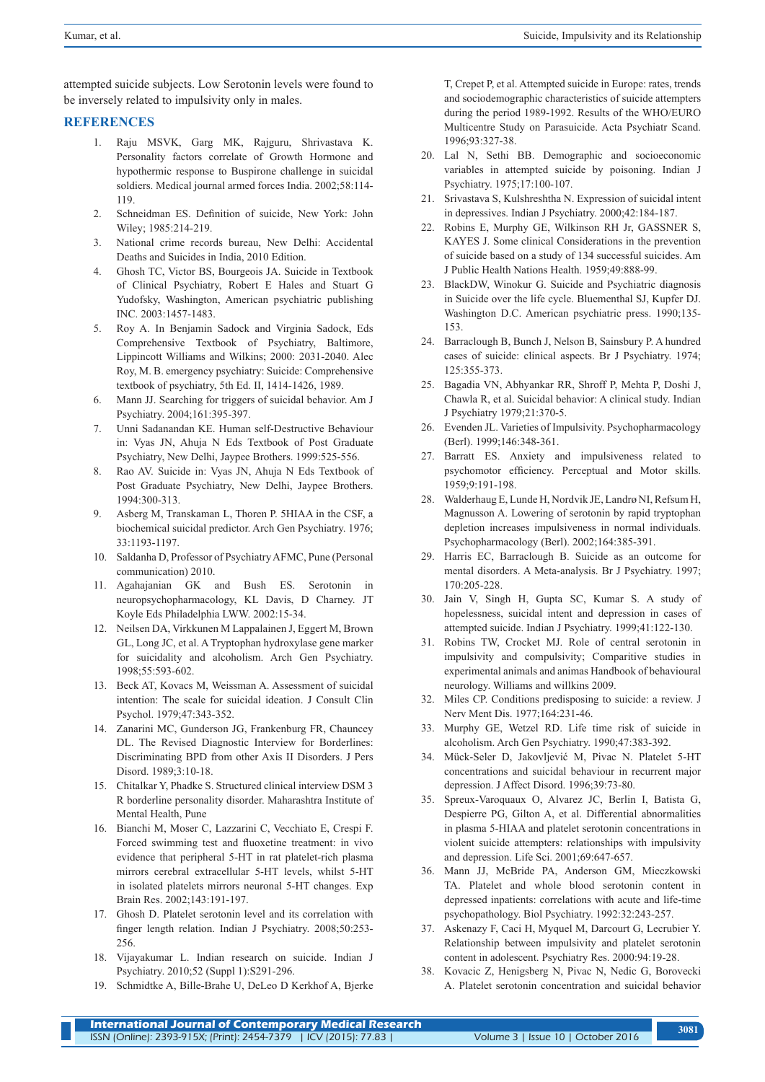attempted suicide subjects. Low Serotonin levels were found to be inversely related to impulsivity only in males.

### **REFERENCES**

- 1. Raju MSVK, Garg MK, Rajguru, Shrivastava K. Personality factors correlate of Growth Hormone and hypothermic response to Buspirone challenge in suicidal soldiers. Medical journal armed forces India. 2002;58:114- 119.
- 2. Schneidman ES. Definition of suicide, New York: John Wiley; 1985:214-219.
- 3. National crime records bureau, New Delhi: Accidental Deaths and Suicides in India, 2010 Edition.
- 4. Ghosh TC, Victor BS, Bourgeois JA. Suicide in Textbook of Clinical Psychiatry, Robert E Hales and Stuart G Yudofsky, Washington, American psychiatric publishing INC. 2003:1457-1483.
- 5. Roy A. In Benjamin Sadock and Virginia Sadock, Eds Comprehensive Textbook of Psychiatry, Baltimore, Lippincott Williams and Wilkins; 2000: 2031-2040. Alec Roy, M. B. emergency psychiatry: Suicide: Comprehensive textbook of psychiatry, 5th Ed. II, 1414-1426, 1989.
- 6. Mann JJ. Searching for triggers of suicidal behavior. Am J Psychiatry. 2004;161:395-397.
- 7. Unni Sadanandan KE. Human self-Destructive Behaviour in: Vyas JN, Ahuja N Eds Textbook of Post Graduate Psychiatry, New Delhi, Jaypee Brothers. 1999:525-556.
- 8. Rao AV. Suicide in: Vyas JN, Ahuja N Eds Textbook of Post Graduate Psychiatry, New Delhi, Jaypee Brothers. 1994:300-313.
- 9. Asberg M, Transkaman L, Thoren P. 5HIAA in the CSF, a biochemical suicidal predictor. Arch Gen Psychiatry. 1976; 33:1193-1197.
- 10. Saldanha D, Professor of Psychiatry AFMC, Pune (Personal communication) 2010.
- 11. Agahajanian GK and Bush ES. Serotonin in neuropsychopharmacology, KL Davis, D Charney. JT Koyle Eds Philadelphia LWW. 2002:15-34.
- 12. Neilsen DA, Virkkunen M Lappalainen J, Eggert M, Brown GL, Long JC, et al. A Tryptophan hydroxylase gene marker for suicidality and alcoholism. Arch Gen Psychiatry. 1998;55:593-602.
- 13. Beck AT, Kovacs M, Weissman A. Assessment of suicidal intention: The scale for suicidal ideation. J Consult Clin Psychol. 1979;47:343-352.
- 14. Zanarini MC, Gunderson JG, Frankenburg FR, Chauncey DL. The Revised Diagnostic Interview for Borderlines: Discriminating BPD from other Axis II Disorders. J Pers Disord. 1989;3:10-18.
- 15. Chitalkar Y, Phadke S. Structured clinical interview DSM 3 R borderline personality disorder. Maharashtra Institute of Mental Health, Pune
- 16. Bianchi M, Moser C, Lazzarini C, Vecchiato E, Crespi F. Forced swimming test and fluoxetine treatment: in vivo evidence that peripheral 5-HT in rat platelet-rich plasma mirrors cerebral extracellular 5-HT levels, whilst 5-HT in isolated platelets mirrors neuronal 5-HT changes. Exp Brain Res. 2002;143:191-197.
- 17. Ghosh D. Platelet serotonin level and its correlation with finger length relation. Indian J Psychiatry. 2008;50:253- 256.
- 18. Vijayakumar L. Indian research on suicide. Indian J Psychiatry. 2010;52 (Suppl 1):S291-296.
- 19. Schmidtke A, Bille-Brahe U, DeLeo D Kerkhof A, Bjerke

T, Crepet P, et al. Attempted suicide in Europe: rates, trends and sociodemographic characteristics of suicide attempters during the period 1989-1992. Results of the WHO/EURO Multicentre Study on Parasuicide. Acta Psychiatr Scand. 1996;93:327-38.

- 20. Lal N, Sethi BB. Demographic and socioeconomic variables in attempted suicide by poisoning. Indian J Psychiatry. 1975;17:100-107.
- 21. Srivastava S, Kulshreshtha N. Expression of suicidal intent in depressives. Indian J Psychiatry. 2000;42:184-187.
- 22. Robins E, Murphy GE, Wilkinson RH Jr, GASSNER S, KAYES J. Some clinical Considerations in the prevention of suicide based on a study of 134 successful suicides. Am J Public Health Nations Health. 1959;49:888-99.
- 23. BlackDW, Winokur G. Suicide and Psychiatric diagnosis in Suicide over the life cycle. Bluementhal SJ, Kupfer DJ. Washington D.C. American psychiatric press. 1990;135- 153.
- 24. Barraclough B, Bunch J, Nelson B, Sainsbury P. A hundred cases of suicide: clinical aspects. Br J Psychiatry. 1974; 125:355-373.
- 25. Bagadia VN, Abhyankar RR, Shroff P, Mehta P, Doshi J, Chawla R, et al. Suicidal behavior: A clinical study. Indian J Psychiatry 1979;21:370-5.
- 26. Evenden JL. Varieties of Impulsivity. Psychopharmacology (Berl). 1999;146:348-361.
- 27. Barratt ES. Anxiety and impulsiveness related to psychomotor efficiency. Perceptual and Motor skills. 1959;9:191-198.
- 28. Walderhaug E, Lunde H, Nordvik JE, Landrø NI, Refsum H, Magnusson A. Lowering of serotonin by rapid tryptophan depletion increases impulsiveness in normal individuals. Psychopharmacology (Berl). 2002;164:385-391.
- 29. Harris EC, Barraclough B. Suicide as an outcome for mental disorders. A Meta-analysis. Br J Psychiatry. 1997; 170:205-228.
- 30. Jain V, Singh H, Gupta SC, Kumar S. A study of hopelessness, suicidal intent and depression in cases of attempted suicide. Indian J Psychiatry. 1999;41:122-130.
- 31. Robins TW, Crocket MJ. Role of central serotonin in impulsivity and compulsivity; Comparitive studies in experimental animals and animas Handbook of behavioural neurology. Williams and willkins 2009.
- 32. Miles CP. Conditions predisposing to suicide: a review. J Nerv Ment Dis. 1977;164:231-46.
- 33. Murphy GE, Wetzel RD. Life time risk of suicide in alcoholism. Arch Gen Psychiatry. 1990;47:383-392.
- 34. Mück-Seler D, Jakovljević M, Pivac N. Platelet 5-HT concentrations and suicidal behaviour in recurrent major depression. J Affect Disord. 1996;39:73-80.
- 35. Spreux-Varoquaux O, Alvarez JC, Berlin I, Batista G, Despierre PG, Gilton A, et al. Differential abnormalities in plasma 5-HIAA and platelet serotonin concentrations in violent suicide attempters: relationships with impulsivity and depression. Life Sci. 2001;69:647-657.
- 36. Mann JJ, McBride PA, Anderson GM, Mieczkowski TA. Platelet and whole blood serotonin content in depressed inpatients: correlations with acute and life-time psychopathology. Biol Psychiatry. 1992:32:243-257.
- 37. Askenazy F, Caci H, Myquel M, Darcourt G, Lecrubier Y. Relationship between impulsivity and platelet serotonin content in adolescent. Psychiatry Res. 2000:94:19-28.
- 38. Kovacic Z, Henigsberg N, Pivac N, Nedic G, Borovecki A. Platelet serotonin concentration and suicidal behavior